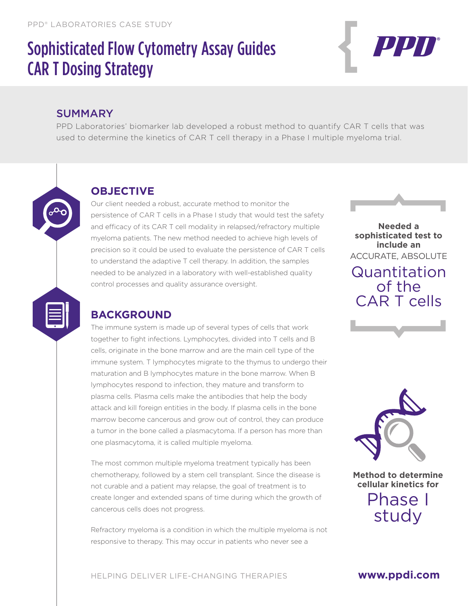# Sophisticated Flow Cytometry Assay Guides CAR T Dosing Strategy



#### SUMMARY

PPD Laboratories' biomarker lab developed a robust method to quantify CAR T cells that was used to determine the kinetics of CAR T cell therapy in a Phase I multiple myeloma trial.

## **OBJECTIVE**

Our client needed a robust, accurate method to monitor the persistence of CAR T cells in a Phase I study that would test the safety and efficacy of its CAR T cell modality in relapsed/refractory multiple myeloma patients. The new method needed to achieve high levels of precision so it could be used to evaluate the persistence of CAR T cells to understand the adaptive T cell therapy. In addition, the samples needed to be analyzed in a laboratory with well-established quality control processes and quality assurance oversight.



# **BACKGROUND**

The immune system is made up of several types of cells that work together to fight infections. Lymphocytes, divided into T cells and B cells, originate in the bone marrow and are the main cell type of the immune system. T lymphocytes migrate to the thymus to undergo their maturation and B lymphocytes mature in the bone marrow. When B lymphocytes respond to infection, they mature and transform to plasma cells. Plasma cells make the antibodies that help the body attack and kill foreign entities in the body. If plasma cells in the bone marrow become cancerous and grow out of control, they can produce a tumor in the bone called a plasmacytoma. If a person has more than one plasmacytoma, it is called multiple myeloma.

The most common multiple myeloma treatment typically has been chemotherapy, followed by a stem cell transplant. Since the disease is not curable and a patient may relapse, the goal of treatment is to create longer and extended spans of time during which the growth of cancerous cells does not progress.

Refractory myeloma is a condition in which the multiple myeloma is not responsive to therapy. This may occur in patients who never see a

**Needed a sophisticated test to include an**  ACCURATE, ABSOLUTE Quantitation of the CAR T cells





**Method to determine cellular kinetics for** 

> Phase I study

HELPING DELIVER LIFE-CHANGING THERAPIES

#### **www.ppdi.com**